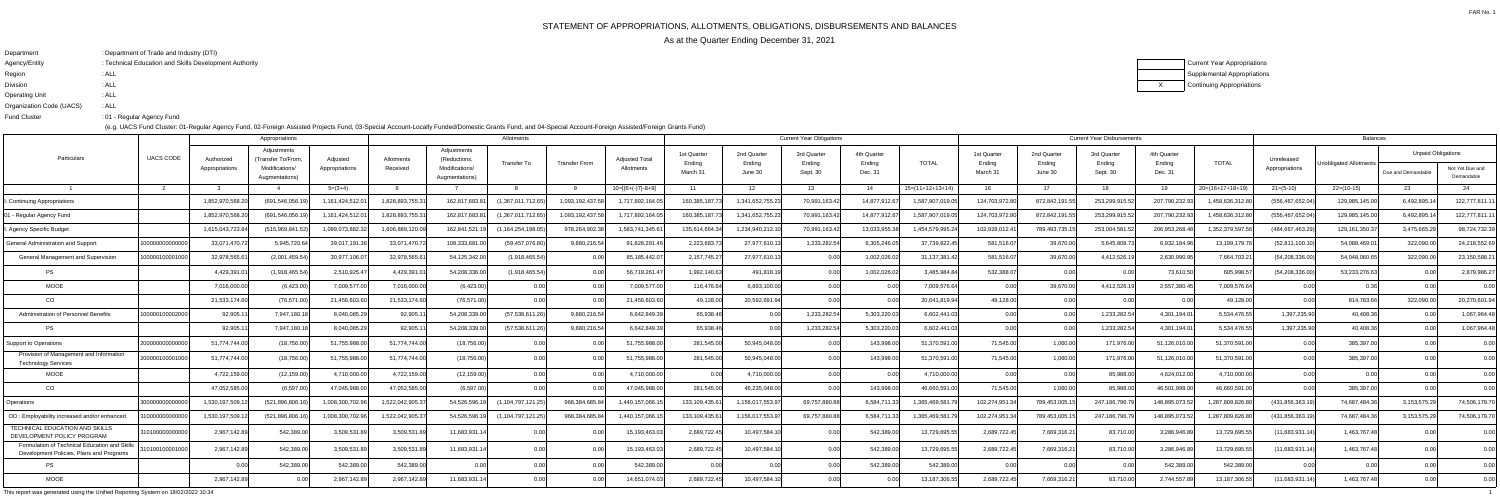## STATEMENT OF APPROPRIATIONS, ALLOTMENTS, OBLIGATIONS, DISBURSEMENTS AND BALANCES

As at the Quarter Ending December 31, 2021

| Department               | : Department of Trade and Industry (DTI)               |
|--------------------------|--------------------------------------------------------|
| Agency/Entity            | : Technical Education and Skills Development Authority |
| Region                   | : ALL                                                  |
| <b>Division</b>          | : ALL                                                  |
| <b>Operating Unit</b>    | : ALL                                                  |
| Organization Code (UACS) | : ALL                                                  |
| <b>Fund Cluster</b>      | :01 - Regular Agency Fund                              |

(e.g. UACS Fund Cluster: 01-Regular Agency Fund, 02-Foreign Assisted Projects Fund, 03-Special Account-Locally Funded/Domestic Grants Fund, and 04-Special Account-Foreign Assisted/Foreign Grants Fund)

| Current Year Appropriations |
|-----------------------------|
| Supplemental Appropriations |
| Continuing Appropriations   |

This report was generated using the Unified Reporting System on 18/02/2022 10:34 $\frac{1}{4}$ 

|                                                                                           | <b>UACS CODE</b> | Allotments<br>Appropriations |                                                                      |                            |                        |                                                                 |                       |                      |                                     |                                   | <b>Current Year Obligations</b>  |                                   | <b>Current Year Disbursements</b> |                    |                                   |                                  |                                   |                                  | Balances           |                              |                        |                                                 |                               |
|-------------------------------------------------------------------------------------------|------------------|------------------------------|----------------------------------------------------------------------|----------------------------|------------------------|-----------------------------------------------------------------|-----------------------|----------------------|-------------------------------------|-----------------------------------|----------------------------------|-----------------------------------|-----------------------------------|--------------------|-----------------------------------|----------------------------------|-----------------------------------|----------------------------------|--------------------|------------------------------|------------------------|-------------------------------------------------|-------------------------------|
| Particulars                                                                               |                  | Authorized<br>Appropriations | Adjustments<br>'Transfer To/From.<br>Modifications/<br>Augmentations | Adjusted<br>Appropriations | Allotments<br>Received | Adjustments<br>(Reductions,<br>Modifications/<br>Augmentations) | <b>Transfer To</b>    | <b>Transfer From</b> | <b>Adjusted Total</b><br>Allotments | 1st Quarter<br>Ending<br>March 31 | 2nd Quarter<br>Ending<br>June 30 | 3rd Quarter<br>Ending<br>Sept. 30 | 4th Quarter<br>Ending<br>Dec. 31  | <b>TOTAL</b>       | 1st Quarter<br>Ending<br>March 31 | 2nd Quarter<br>Ending<br>June 30 | 3rd Quarter<br>Ending<br>Sept. 30 | 4th Quarter<br>Ending<br>Dec. 31 | <b>TOTAL</b>       | Unreleased<br>Appropriations | Unobligated Allotments | <b>Unpaid Obligations</b><br>Due and Demandable | Not Yet Due and<br>Demandable |
|                                                                                           |                  |                              |                                                                      | $5=(3+4)$                  |                        |                                                                 |                       |                      | $10=[6+(-)7]-8+9]$                  | 11                                | 12 <sup>7</sup>                  | 13                                | 14                                | $15=(11+12+13+14)$ | 16                                | 17                               | 18                                | 19                               | $20=(16+17+18+19)$ | $21=(5-10)$                  | $22=(10-15)$           | 23                                              | 24                            |
| <b>Continuing Appropriations</b>                                                          |                  | 1,852,970,568.2              | (691.546.056.                                                        | 1,161,424,512.0            | 1.828.893.755.         | 162,817,683.8                                                   | (1,367,011,712.65     | 1,093,192,437.5      | 1,717,892,164.0                     | 160,385,187.                      | 1,341,652,755.2                  | 70,991,163.42                     | 14.877.912.67                     | 1,587,907,019.05   | 124,703,972.80                    | 872,842,191                      | 253,299,915.                      | 207,790,232.                     | 1,458,636,312.     | (556,467,652.04              | 129,985,145.00         | 6,492,895.                                      | 122,777,811.1                 |
| - Regular Agency Fund                                                                     |                  | 1,852,970,568.20             | (691.546.056.                                                        | 1,161,424,512.0            | 1,828,893,755.3        | 162,817,683.8                                                   | (1,367,011,712.65)    | 1,093,192,437.58     | 1,717,892,164.05                    | 160.385.187.7                     | 1,341,652,755.23                 | 70,991,163.42                     | 14,877,912.67                     | 1,587,907,019.05   | 124,703,972.80                    | 872,842,191.5                    | 253,299,915.5                     | 207,790,232.9                    | 1,458,636,312.8    | (556, 467, 652.04)           | 129,985,145.00         | 6,492,895.                                      | 122,777,811.11                |
| Agency Specific Budget                                                                    |                  | 1,615,043,723.84             | (515,969,841.                                                        | 1.099.073.882.3            | 1,606,889,120.0        | 162,841,521.                                                    | (1, 164, 254, 198.0   | 978,264,902.38       | 1.583.741.345.6                     | 135,614,664.3                     | 1,234,940,212.1                  | 70,991,163.42                     | 13,033,955.3                      | 1.454.579.995.     | 102,928,012.41                    | 789,493,735.                     | 253,004,581.                      | 206,953,268                      | 1,352,379,597.5    | (484,667,463.29              | 129,161,350.37         | 3,475,665.2                                     | 98,724,732.39                 |
| General Administration and Support                                                        | 10000000000000   | 33.071.470.7                 | 5.945.720.6                                                          | 39.017.191.3               | 33.071.470.72          | 108.333.681.00                                                  | (59.457.076.80)       | 9.880.216.54         | 91.828.291.4                        | 2.223.683.7                       | 27.977.610.1                     | 1.233.282.54                      | 6.305.246.05                      | 37.739.822.4       | 581.516.07                        | 39.670.0                         | 5.645.808.7                       | 6.932.184.9                      | 13.199.179.        | (52.811.100.10)              | 54.088.469.0           | 322.090.0                                       | 24,218,552.69                 |
| <b>General Management and Supervision</b>                                                 | 0000010000100    | 32,978,565.6                 | (2,001,459.54)                                                       | 30,977,106.0               | 32,978,565.6           | 54,125,342.00                                                   | (1,918,465.54)        |                      | 85,185,442.0                        | 2,157,745.27                      | 27,977,610.13                    | 0.001                             | 1,002,026.02                      | 31, 137, 381. 42   | 581,516.07                        | 39,670.00                        | 4,412,526.1                       | 2,630,990.9                      | 7,664,703.2        | (54, 208, 336.00)            | 54,048,060.65          | 322,090.00                                      | 23,150,588.2                  |
| <b>PS</b>                                                                                 |                  | 4,429,391.                   | (1,918,465.54)                                                       | 2,510,925.4                | 4,429,391.0            | 54.208.336.00                                                   | (1.918.465.54)        |                      | 56,719,261.4                        | 1.992.140.63                      | 491,818.19                       | በ በበ                              | 1,002,026.02                      | 3.485.984.84       | 532,388.07                        |                                  |                                   | 73,610.50                        | 605.998.5          | (54, 208, 336.00)            | 53,233,276.63          |                                                 | 2,879,986.27                  |
| <b>MOOE</b>                                                                               |                  | 7,016,000.00                 | (6,423.00)                                                           | 7,009,577.00               | 7,016,000.00           | (6,423.00)                                                      |                       | 0.00                 | 7,009,577.00                        | 116,476.64                        | 6,893,100.00                     | በ በበ                              | n nn                              | 7,009,576.64       | 0.00                              | 39,670.00                        | 4,412,526.1                       | 2,557,380.4                      | 7,009,576.64       | n nnl                        | 0.36                   |                                                 | 0.00                          |
| CO                                                                                        |                  | 21,533,174.60                | (76, 571.00)                                                         | 21,456,603.6               | 21,533,174.60          | (76, 571.00)                                                    | 0.00                  |                      | 21,456,603.60                       | 49,128.00                         | 20,592,691.94                    | 0.001                             |                                   | 20,641,819.94      | 49,128.00                         | 0.00                             | 0.00                              |                                  | 49,128.00          | 0.00                         | 814,783.66             | 322,090.00                                      | 20,270,601.94                 |
| Administration of Personnel Benefits                                                      | 0000010000200    | 92,905.                      | 7.947.180.1                                                          | 8.040.085.2                | 92,905.1               | 54.208.339.00                                                   | (57,538,611.26)       | 9,880,216.54         | 6.642.849.3                         | 65.938.46                         | 0.00                             | 1,233,282.54                      | 5,303,220.03                      | 6.602.441.03       | 0.001                             |                                  | 1,233,282.5                       | 4.301.194.0                      | 5.534.476.55       | 1.397.235.90                 | 40.408.36              |                                                 | 1.067.964.48                  |
| <b>PS</b>                                                                                 |                  | 92,905.                      | 7,947,180.                                                           | 8,040,085.2                | 92,905.1               | 54,208,339.00                                                   | (57,538,611.26)       | 9,880,216.54         | 6,642,849.3                         | 65,938.46                         | 0.00                             | 1,233,282.54                      | 5,303,220.03                      | 6,602,441.03       | 0.00                              |                                  | 1,233,282.5                       | 4,301,194.0                      | 5,534,476.55       | 1,397,235.90                 | 40,408.36              |                                                 | 1,067,964.48                  |
| upport to Operations                                                                      | :0000000000000   | 51,774,744.00                | (18, 756.00)                                                         | 51,755,988.0               | 51,774,744.00          | (18,756.00)                                                     |                       |                      | 51,755,988.0                        | 281,545.00                        | 50,945,048.00                    | 0.00                              | 143,998.0                         | 51,370,591.00      | 71,545.00                         | 1.060.0                          | 171,976.0                         | 51,126,010.00                    | 51,370,591.00      | 0.00                         | 385,397.00             |                                                 | 0.00                          |
| Provision of Management and Information<br><b>Technology Services</b>                     | 20000010000100   | 51,774,744.00                | (18, 756.00)                                                         | 51,755,988.0               | 51,774,744.00          | (18,756.00)                                                     | 0.00                  |                      | 51,755,988.00                       | 281,545.00                        | 50,945,048.00                    | 0.001                             | 143,998.00                        | 51,370,591.00      | 71,545.00                         | 1.060.00                         | 171,976.0                         | 51,126,010.00                    | 51,370,591.00      | 0.00                         | 385,397.00             |                                                 | 0.00                          |
| <b>MOOE</b>                                                                               |                  | 4,722,159.00                 | (12, 159.00)                                                         | 4,710,000.00               | 4,722,159.00           | (12, 159.00)                                                    | 0.00                  | 0.00                 | 4,710,000.00                        | 0.00                              | 4,710,000.00                     | 0.00 <sub>l</sub>                 | 0.00                              | 4.710.000.00       | 0.00                              | 0.00                             | 85,988.0                          | 4,624,012.00                     | 4,710,000.00       | 0.00 <sup>1</sup>            | 0.00                   |                                                 | 0.00                          |
| CO                                                                                        |                  | 47.052.585.00                | (6.597.00                                                            | 47,045,988.0               | 47,052,585.00          | (6.597.00                                                       | 0.00                  | 0.00                 | 47,045,988.00                       | 281.545.00                        | 46,235,048.00                    | 0.001                             | 143,998.0                         | 46.660.591.00      | 71.545.00                         | 1.060.00                         | 85.988.0                          | 46,501,998.0                     | 46.660.591.0       | n ool                        | 385,397.00             |                                                 | 0.00                          |
| Operations                                                                                | 30000000000000   | 1,530,197,509.1              | (521,896,806.1                                                       | 1.008.300.702.96           | 1,522,042,905.37       | 54,526,596.1                                                    | (1, 104, 797, 121.25) | 968.384.685.8        | 1,440,157,066.                      | 133,109,435.61                    | 1,156,017,553.97                 | 69,757,880.88                     | 6,584,711.33                      | 1,365,469,581.7    | 102,274,951.34                    | 789,453,005.1                    | 247,186,796.7                     | 148,895,073.                     | 1,287,809,826.80   | (431,856,363.19              | 74,687,484.36          | 3,153,575.29                                    | 74,506,179.70                 |
| OO: Employability increased and/or enhanced                                               | 100000000000     | 1.530.197.509.1              | (521.896.806.1                                                       | 1.008.300.702.96           | 1,522,042,905.37       | 54.526.596.1                                                    | (1, 104, 797, 121.25) | 968.384.685.8        | 1,440,157,066.                      | 133.109.435.6                     | 1,156,017,553.97                 | 69.757.880.88                     | 6.584.711.33                      | 1.365.469.581.     | 102,274,951.34                    | 789.453.005.                     | 247,186,796.7                     | 148,895,073.                     | 1.287.809.826.80   | (431,856,363.1               | 74,687,484.36          | 3,153,575.29                                    | 74,506,179.70                 |
| <b><i>TECHNICAL EDUCATION AND SKILLS</i></b><br>DEVELOPMENT POLICY PROGRAM                | :101000000000    | 2.967.142.8                  | 542,389.0                                                            | 3.509.531.8                | 3,509,531.8            | 11,683,931.1                                                    | 0.00                  |                      | 15.193.463.0                        | 2,689,722.45                      | 10.497.584.1                     | 0.OC                              | 542,389.0                         | 13,729,695.5       | 2,689,722.45                      | 7,669,316.21                     | 83,710.0                          | 3,286,946.8                      | 13,729,695.        | (11,683,931.14               | 1,463,767.48           |                                                 | 0.00                          |
| Formulation of Technical Education and Skills<br>Development Policies, Plans and Programs | 10100100001000   | 2,967,142.89                 | 542,389.0                                                            | 3,509,531.89               | 3,509,531.89           | 11,683,931.1                                                    | 0.00                  | 0.00                 | 15,193,463.03                       | 2,689,722.45                      | 10,497,584.10                    | 0.00                              | 542,389.00                        | 13,729,695.55      | 2,689,722.45                      | 7,669,316.21                     | 83,710.00                         | 3,286,946.8                      | 13,729,695.55      | (11,683,931.14)              | 1,463,767.48           |                                                 | 0.00                          |
| <b>PS</b>                                                                                 |                  |                              | 542,389.0                                                            | 542,389.00                 | 542,389.00             |                                                                 | 0.00                  |                      | 542,389.00                          | n no                              |                                  | 0.001                             | 542,389.00                        | 542,389.00         | 0.00                              |                                  |                                   | 542,389.00                       | 542,389.00         | 0.00                         | 0.00                   |                                                 | 0.00                          |
| <b>MOOE</b>                                                                               |                  | 2,967,142.89                 |                                                                      | 2,967,142.89               | 2,967,142.89           | 11,683,931.14                                                   | 0.00                  |                      | 14,651,074.03                       | 2,689,722.45                      | 10,497,584.10                    | 0.00                              | 0.00                              | 13,187,306.55      | 2,689,722.45                      | 7,669,316.21                     | 83,710.00                         | 2,744,557.8                      | 13,187,306.55      | (11,683,931.14)              | 1,463,767.48           |                                                 | 0.00                          |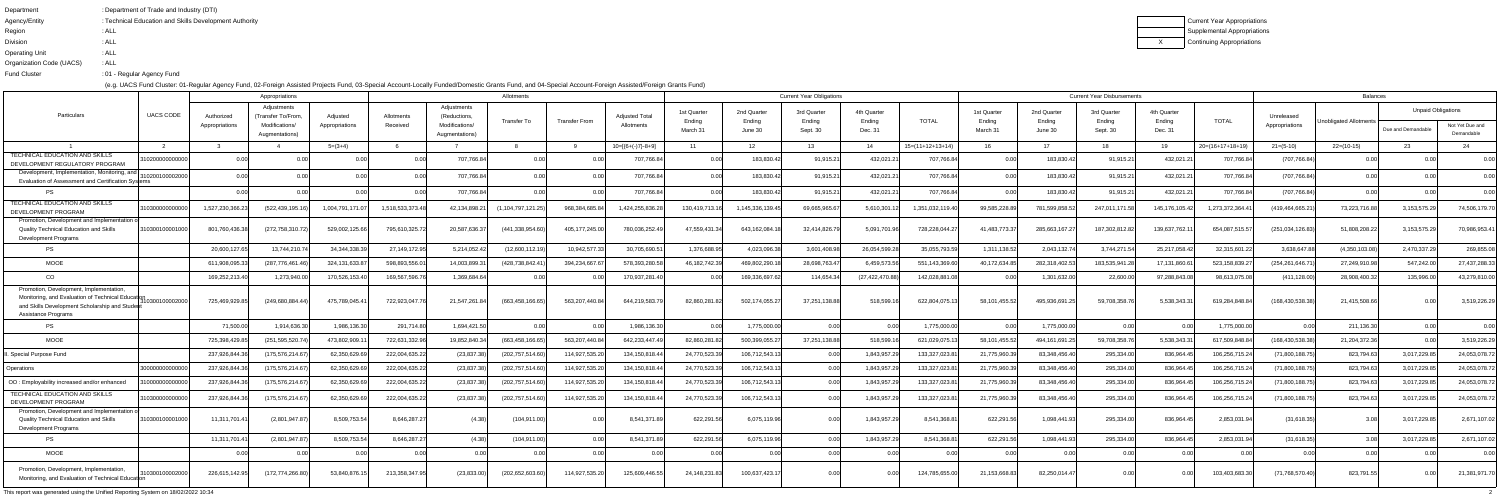| Current Y |
|-----------|
| Supplem   |
| Continuin |

Year Appropriations Supplemental Appropriationsuing Appropriations

| Department               | : Department of Trade and Industry (DTI)               |
|--------------------------|--------------------------------------------------------|
| Agency/Entity            | : Technical Education and Skills Development Authority |
| Region                   | : ALL                                                  |
| <b>Division</b>          | : ALL                                                  |
| <b>Operating Unit</b>    | : ALL                                                  |
| Organization Code (UACS) | : ALL                                                  |
| <b>Fund Cluster</b>      | :01 - Regular Agency Fund                              |
|                          |                                                        |

(e.g. UACS Fund Cluster: 01-Regular Agency Fund, 02-Foreign Assisted Projects Fund, 03-Special Account-Locally Funded/Domestic Grants Fund, and 04-Special Account-Foreign Assisted/Foreign Grants Fund)

|                                                                                                                                                                           |                  |                              | Appropriations                                                        |                            |                        |                                                                | <b>Current Year Obligations</b> |                |                              |                                   |                                  |                                   |                                  |                    | <b>Current Year Disbursements</b> |                                  | Balances                          |                                  |                   |                              |                        |                                                 |                               |
|---------------------------------------------------------------------------------------------------------------------------------------------------------------------------|------------------|------------------------------|-----------------------------------------------------------------------|----------------------------|------------------------|----------------------------------------------------------------|---------------------------------|----------------|------------------------------|-----------------------------------|----------------------------------|-----------------------------------|----------------------------------|--------------------|-----------------------------------|----------------------------------|-----------------------------------|----------------------------------|-------------------|------------------------------|------------------------|-------------------------------------------------|-------------------------------|
| Particulars                                                                                                                                                               | <b>UACS CODE</b> | Authorized<br>Appropriations | Adjustments<br>'Transfer To/From.<br>Modifications/<br>Augmentations) | Adiusted<br>Appropriations | Allotments<br>Received | Adjustments<br>(Reductions<br>Modifications/<br>Augmentations) | Transfer To                     | Transfer From  | Adiusted Total<br>Allotments | 1st Quarter<br>Ending<br>March 31 | 2nd Quarter<br>Ending<br>June 30 | 3rd Quarter<br>Ending<br>Sept. 30 | 4th Quarter<br>Ending<br>Dec. 31 | TOTAL              | 1st Quarter<br>Ending<br>March 31 | 2nd Quarter<br>Ending<br>June 30 | 3rd Quarter<br>Ending<br>Sept. 30 | 4th Quarter<br>Ending<br>Dec. 31 | <b>TOTAL</b>      | Unreleased<br>Appropriations | Unobligated Allotments | <b>Unpaid Obligations</b><br>Due and Demandable | Not Yet Due and<br>Demandable |
|                                                                                                                                                                           |                  |                              |                                                                       | $5=(3+4)$                  |                        |                                                                |                                 |                | $10=[(6+(-)7)-8+9]$          | 11                                | 12                               | 13                                | -14                              | $15=(11+12+13+14)$ |                                   | 17                               | 18                                | 19                               | $20=(16+17+18+19$ | $21=(5-10)$                  | $22=(10-15)$           | 23                                              |                               |
| TECHNICAL EDUCATION AND SKILLS<br>DEVELOPMENT REGULATORY PROGRAM                                                                                                          | 02000000000      |                              |                                                                       |                            | 0.001                  | 707,766.8                                                      |                                 |                | 707,766.84                   | 0.00                              | 183,830.42                       | 91,915.2                          | 432,021.2                        | 707,766.84         | 0.00                              | 183,830.42                       | 91,915.21                         | 432,021.                         | 707,766.8         | (707, 766.84)                |                        |                                                 | 0.00                          |
| Development, Implementation, Monitoring, and<br>Evaluation of Assessment and Certification Syster                                                                         | 020010000200     |                              |                                                                       |                            | 0.00l                  | 707,766.84                                                     | 0.00                            |                | 707,766.84                   |                                   | 183,830.42                       | 91,915.2                          | 432,021.21                       | 707,766.84         | 0.00                              | 183,830.42                       | 91,915.21                         | 432,021.                         | 707,766.84        | (707, 766.84)                |                        |                                                 |                               |
| <b>PS</b>                                                                                                                                                                 |                  |                              |                                                                       |                            |                        | 707,766.84                                                     |                                 |                | 707,766.84                   |                                   | 183,830.42                       | 91,915.2                          | 432,021.21                       | 707,766.84         | 0.00                              | 183,830.42                       | 91,915.21                         | 432,021.                         | 707,766.8         | (707, 766.84)                | 0.00                   |                                                 | 0.00                          |
| TECHNICAL EDUCATION AND SKILLS<br>DEVELOPMENT PROGRAM                                                                                                                     | 10300000000000   | 1,527,230,366.2              | (522,439,195.1                                                        | 1,004,791,171.0            | 1,518,533,373.         | 42.134.898.2                                                   | (1, 104, 797, 121.25)           | 968.384.685.   | 1,424,255,836.               | 130,419,713.                      | 1,145,336,139.4                  | 69,665,965.                       | 5,610,301.1                      | 1.351.032.119.40   | 99,585,228.89                     | 781,599,858.                     | 247,011,171.                      | 145,176,105.42                   | 1,273,372,364.4   | (419,464,665.2               | 73,223,716.88          | 3,153,575.29                                    | 74,506,179.70                 |
| Promotion, Development and Implementation of<br><b>Quality Technical Education and Skills</b><br><b>Development Programs</b>                                              | 10300100001000   | 801,760,436.38               | (272,758,310.72                                                       | 529,002,125.66             | 795,610,325.72         | 20,587,636.3                                                   | (441.338.954.60)                | 405, 177, 245. | 780,036,252.49               | 47.559.431.3                      | 643,162,084.1                    | 32,414,826.79                     | 5,091,701.96                     | 728,228,044.2      | 41,483,773.37                     | 285,663,167.2                    | 187,302,812.82                    | 139,637,762.                     | 654,087,515.      | (251, 034, 126.83)           | 51,808,208.22          | 3,153,575.29                                    | 70,986,953.41                 |
| PS                                                                                                                                                                        |                  | 20,600,127.6                 | 13,744,210.7                                                          | 34, 344, 338. 3            | 27,149,172.95          | 5,214,052.42                                                   | (12,600,112.19)                 | 10,942,577.33  | 30,705,690.5                 | 1,376,688.95                      | 4,023,096.38                     | 3,601,408.98                      | 26,054,599.28                    | 35,055,793.59      | 1.311.138.52                      | 2,043,132.74                     | 3,744,271.54                      | 25,217,058.42                    | 32,315,601.2      | 3.638.647.88                 | (4,350,103.08)         | 2,470,337.29                                    | 269,855.08                    |
| <b>MOOE</b>                                                                                                                                                               |                  | 611,908,095.3                | (287.776.461.46                                                       | 324,131,633.87             | 598,893,556.0          | 14,003,899.3                                                   | (428,738,842.41                 | 394,234,667.6  | 578,393,280.58               | 46,182,742.39                     | 469,802,290.1                    | 28,698,763.47                     | 6,459,573.56                     | 551,143,369.60     | 40,172,634.85                     | 282,318,402.53                   | 183,535,941.2                     | 17,131,860.                      | 523,158,839.2     | (254, 261, 646. 7            | 27,249,910.98          | 547,242.00                                      | 27,437,288.33                 |
| CO                                                                                                                                                                        |                  | 169,252,213.4                | 1,273,940.0                                                           | 170,526,153.40             | 169,567,596.7          | 1,369,684.6                                                    |                                 |                | 170,937,281.40               |                                   | 169,336,697.6                    | 114,654.34                        | (27, 422, 470.88)                | 142,028,881.       |                                   | 1,301,632.00                     | 22,600.0                          | 97,288,843.0                     | 98,613,075.08     | (411, 128.00)                | 28,908,400.32          | 135,996.00                                      | 43,279,810.00                 |
| Promotion, Development, Implementation,<br>Monitoring, and Evaluation of Technical Educat<br>and Skills Development Scholarship and Student<br><b>Assistance Programs</b> | 10300100002000   | 725,469,929.85               | (249.680.884.44)                                                      | 475,789,045.4              | 722,923,047.           | 21,547,261.84                                                  | (663,458,166.65)                | 563,207,440.84 | 644,219,583.79               | 82,860,281.82                     | 502,174,055.2                    | 37,251,138.88                     | 518,599                          | 622,804,075.13     | 58,101,455.52                     | 495,936,691.2                    | 59,708,358.7                      | 5,538,343.3                      | 619,284,848.84    | (168, 430, 538, 38)          | 21,415,508.66          | റ ററ                                            | 3,519,226.29                  |
| PS                                                                                                                                                                        |                  | 71,500.00                    | 1,914,636.3                                                           | 1,986,136.30               | 291,714.80             | 1,694,421.50                                                   | 0.00                            |                | 1,986,136.30                 | 0.00                              | 1,775,000.00                     |                                   |                                  | 1,775,000.00       | 0.001                             | 1,775,000.00                     | 0.00                              |                                  | 1,775,000.00      |                              | 211,136.30             |                                                 |                               |
| <b>MOOE</b>                                                                                                                                                               |                  | 725,398,429.8                | (251.595.520.7                                                        | 473.802.909.               | 722,631,332.9          | 19,852,840.3                                                   | (663,458,166.65                 | 563.207.440.8  | 642,233,447.49               | 82.860.281.8                      | 500.399.055.2                    | 37,251,138.88                     | 518.599.                         | 621,029,075.13     | 58,101,455.52                     | 494,161,691.                     | 59,708,358.7                      | 5,538,343.3                      | 617,509,848.8     | (168,430,538.38              | 21,204,372.36          |                                                 | 3,519,226.29                  |
| Special Purpose Fund                                                                                                                                                      |                  | 237,926,844.3                | (175,576,214.67                                                       | 62,350,629.69              | 222,004,635.2          | (23, 837.38)                                                   | (202,757,514.60                 | 114,927,535.2  | 134, 150, 818.44             | 24,770,523.3                      | 106,712,543.13                   | 0.00                              | 1,843,957.29                     | 133,327,023.81     | 21,775,960.39                     | 83,348,456.40                    | 295,334.00                        | 836,964.4                        | 106,256,715.2     | (71,800,188.75)              | 823,794.63             | 3,017,229.85                                    | 24,053,078.72                 |
| Operations                                                                                                                                                                | 3000000000000    | 237,926,844.3                | (175, 576, 214.6)                                                     | 62,350,629.69              | 222,004,635.2          | (23, 837.38)                                                   | (202,757,514.60                 | 114,927,535.2  | 134,150,818.44               | 24,770,523.39                     | 106,712,543.13                   |                                   | 1,843,957.2                      | 133,327,023.8      | 21,775,960.39                     | 83,348,456.40                    | 295,334.00                        | 836,964.4                        | 106,256,715.      | (71,800,188.75               | 823,794.63             | 3,017,229.85                                    | 24,053,078.72                 |
| OO: Employability increased and/or enhanced                                                                                                                               | 1000000000000    | 237,926,844.36               | (175,576,214.6)                                                       | 62,350,629.69              | 222,004,635.2          | (23, 837.38)                                                   | (202,757,514.60                 | 114,927,535.2  | 134,150,818.44               | 24,770,523.3                      | 106,712,543.13                   | 0.00                              | 1,843,957.                       | 133,327,023.81     | 21,775,960.39                     | 83,348,456.40                    | 295,334.00                        | 836,964.4                        | 106,256,715       | (71,800,188.75               | 823,794.63             | 3,017,229.85                                    | 24,053,078.72                 |
| TECHNICAL EDUCATION AND SKILLS<br>DEVELOPMENT PROGRAM                                                                                                                     | 1030000000000    | 237,926,844.36               | (175, 576, 214.67)                                                    | 62,350,629.69              | 222,004,635.2          | (23, 837.38)                                                   | (202, 757, 514.60)              | 114,927,535.2  | 134,150,818.44               | 24,770,523.39                     | 106,712,543.13                   | n nn                              | 1,843,957.2                      | 133,327,023.81     | 21,775,960.39                     | 83,348,456.40                    | 295,334.00                        | 836,964.4                        | 106,256,715.2     | (71,800,188.75)              | 823,794.63             | 3,017,229.85                                    | 24,053,078.72                 |
| Promotion, Development and Implementation o<br>Quality Technical Education and Skills<br><b>Development Programs</b>                                                      | 310300100001000  | 11,311,701.41                | (2,801,947.87)                                                        | 8,509,753.54               | 8,646,287.2            | (4.38)                                                         | (104, 911.00)                   | 0.00           | 8,541,371.89                 | 622,291.56                        | 6,075,119.96                     | 0.00                              | 1,843,957.29                     | 8,541,368.81       | 622,291.56                        | 1,098,441.93                     | 295,334.00                        | 836,964.45                       | 2,853,031.94      | (31,618.35)                  |                        | 3,017,229.85                                    | 2,671,107.02                  |
| PS                                                                                                                                                                        |                  | 11,311,701.41                | (2,801,947.87)                                                        | 8,509,753.54               | 8,646,287.2            | (4.38)                                                         | (104, 911.00)                   | - N N          | 8,541,371.89                 | 622,291.56                        | 6,075,119.96                     | 0.00                              | 1,843,957.29                     | 8,541,368.81       | 622,291.56                        | 1,098,441.93                     | 295,334.00                        | 836,964.45                       | 2,853,031.94      | (31,618.35)                  | 3.08                   | 3,017,229.85                                    | 2,671,107.02                  |
| <b>MOOE</b>                                                                                                                                                               |                  |                              |                                                                       | 0.00                       | 0.00                   | 0.00                                                           | 0.00                            | 0.00           | 0.00                         | 0.00                              | 0.00                             | 0.00                              | 0.00                             | n nn               | 0.00                              | 0.00                             | 0.00                              |                                  | 0.00              | 0.001                        | 0.00                   | 0.00                                            | 0.00                          |
| Promotion, Development, Implementation,<br>Monitoring, and Evaluation of Technical Educaton                                                                               | 310300100002000  | 226,615,142.95               | (172, 774, 266.80)                                                    | 53,840,876.1               | 213,358,347.95         | (23,833.00)                                                    | (202, 652, 603.60)              | 114,927,535.20 | 125,609,446.55               | 24,148,231.83                     | 100,637,423.17                   | 0.001                             | 0.00                             | 124,785,655.00     | 21,153,668.83                     | 82,250,014.47                    | 0.00                              |                                  | 103,403,683.30    | (71, 768, 570.40)            | 823,791.55             | 0.00                                            | 21,381,971.70                 |

This report was generated using the Unified Reporting System on 18/02/2022 10:34<sup>2</sup>